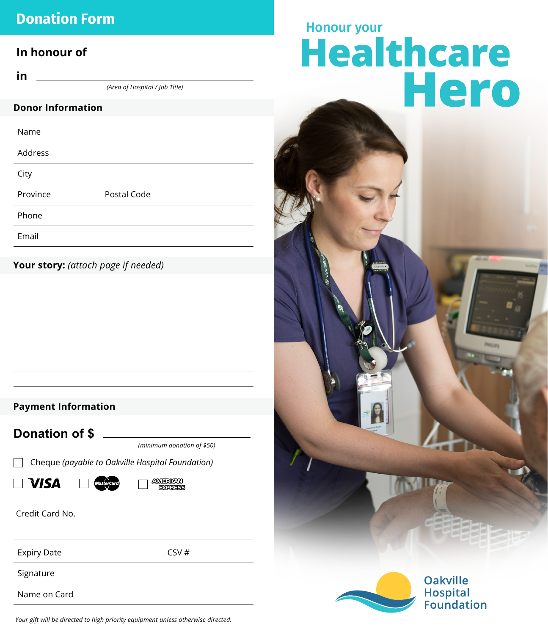## **Donation Form**

### **In honour of**

**in** 

*(Area of Hospital / Job Title)*

#### **Donor Information**

| Name     |             |
|----------|-------------|
| Address  |             |
| City     |             |
| Province | Postal Code |
| Phone    |             |
| Email    |             |

**Your story:** *(attach page if needed)*

### **Payment Information**

**Donation of \$**

*(minimum donation of \$50)*

Cheque *(payable to Oakville Hospital Foundation)*

 $\Box$  Visa



Credit Card No.

Expiry Date CSV #

Signature

Name on Card

# Honour your<br>Healthcare Hero



*Your gift will be directed to high priority equipment unless otherwise directed.*